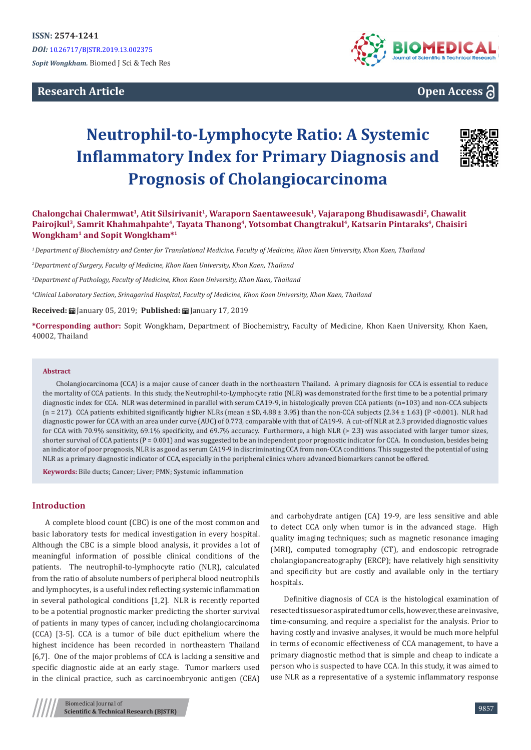# **Research Article**



# **Open Access**

# **Neutrophil-to-Lymphocyte Ratio: A Systemic Inflammatory Index for Primary Diagnosis and Prognosis of Cholangiocarcinoma**



**Chalongchai Chalermwat1, Atit Silsirivanit1, Waraporn Saentaweesuk<sup>1</sup>, Vajarapong Bhudisawasdi<sup>2</sup>, Chawalit Pairojkul3, Samrit Khahmahpahte4, Tayata Thanong<sup>4</sup>, Yotsombat Changtrakul<sup>4</sup>, Katsarin Pintaraks<sup>4</sup>, Chaisiri Wongkham<sup>1</sup> and Sopit Wongkham\*<sup>1</sup>**

*1 Department of Biochemistry and Center for Translational Medicine, Faculty of Medicine, Khon Kaen University, Khon Kaen, Thailand*

*2 Department of Surgery, Faculty of Medicine, Khon Kaen University, Khon Kaen, Thailand*

*3 Department of Pathology, Faculty of Medicine, Khon Kaen University, Khon Kaen, Thailand*

*4 Clinical Laboratory Section, Srinagarind Hospital, Faculty of Medicine, Khon Kaen University, Khon Kaen, Thailand*

**Received:** ■ January 05, 2019; **Published:** ■ January 17, 2019

**\*Corresponding author:** Sopit Wongkham, Department of Biochemistry, Faculty of Medicine, Khon Kaen University, Khon Kaen, 40002, Thailand

#### **Abstract**

Cholangiocarcinoma (CCA) is a major cause of cancer death in the northeastern Thailand. A primary diagnosis for CCA is essential to reduce the mortality of CCA patients. In this study, the Neutrophil-to-Lymphocyte ratio (NLR) was demonstrated for the first time to be a potential primary diagnostic index for CCA. NLR was determined in parallel with serum CA19-9, in histologically proven CCA patients (n=103) and non-CCA subjects (n = 217). CCA patients exhibited significantly higher NLRs (mean  $\pm$  SD, 4.88  $\pm$  3.95) than the non-CCA subjects (2.34  $\pm$  1.63) (P <0.001). NLR had diagnostic power for CCA with an area under curve (AUC) of 0.773, comparable with that of CA19-9. A cut-off NLR at 2.3 provided diagnostic values for CCA with 70.9% sensitivity, 69.1% specificity, and 69.7% accuracy. Furthermore, a high NLR (> 2.3) was associated with larger tumor sizes, shorter survival of CCA patients (P = 0.001) and was suggested to be an independent poor prognostic indicator for CCA. In conclusion, besides being an indicator of poor prognosis, NLR is as good as serum CA19-9 in discriminating CCA from non-CCA conditions. This suggested the potential of using NLR as a primary diagnostic indicator of CCA, especially in the peripheral clinics where advanced biomarkers cannot be offered.

**Keywords:** Bile ducts; Cancer; Liver; PMN; Systemic inflammation

## **Introduction**

A complete blood count (CBC) is one of the most common and basic laboratory tests for medical investigation in every hospital. Although the CBC is a simple blood analysis, it provides a lot of meaningful information of possible clinical conditions of the patients. The neutrophil-to-lymphocyte ratio (NLR), calculated from the ratio of absolute numbers of peripheral blood neutrophils and lymphocytes, is a useful index reflecting systemic inflammation in several pathological conditions [1,2]. NLR is recently reported to be a potential prognostic marker predicting the shorter survival of patients in many types of cancer, including cholangiocarcinoma (CCA) [3-5]. CCA is a tumor of bile duct epithelium where the highest incidence has been recorded in northeastern Thailand [6,7]. One of the major problems of CCA is lacking a sensitive and specific diagnostic aide at an early stage. Tumor markers used in the clinical practice, such as carcinoembryonic antigen (CEA)

and carbohydrate antigen (CA) 19-9, are less sensitive and able to detect CCA only when tumor is in the advanced stage. High quality imaging techniques; such as magnetic resonance imaging (MRI), computed tomography (CT), and endoscopic retrograde cholangiopancreatography (ERCP); have relatively high sensitivity and specificity but are costly and available only in the tertiary hospitals.

Definitive diagnosis of CCA is the histological examination of resected tissues or aspirated tumor cells, however, these are invasive, time-consuming, and require a specialist for the analysis. Prior to having costly and invasive analyses, it would be much more helpful in terms of economic effectiveness of CCA management, to have a primary diagnostic method that is simple and cheap to indicate a person who is suspected to have CCA. In this study, it was aimed to use NLR as a representative of a systemic inflammatory response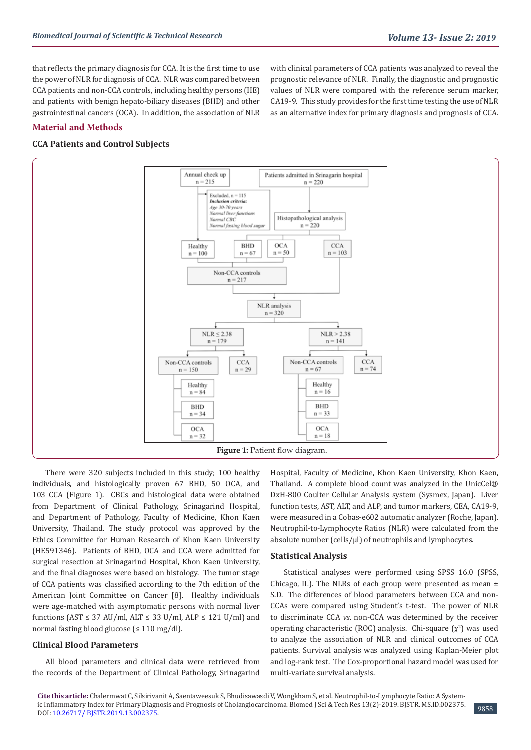that reflects the primary diagnosis for CCA. It is the first time to use the power of NLR for diagnosis of CCA. NLR was compared between CCA patients and non-CCA controls, including healthy persons (HE) and patients with benign hepato-biliary diseases (BHD) and other gastrointestinal cancers (OCA). In addition, the association of NLR with clinical parameters of CCA patients was analyzed to reveal the prognostic relevance of NLR. Finally, the diagnostic and prognostic values of NLR were compared with the reference serum marker, CA19-9. This study provides for the first time testing the use of NLR as an alternative index for primary diagnosis and prognosis of CCA.

## **Material and Methods**

## **CCA Patients and Control Subjects**



There were 320 subjects included in this study; 100 healthy individuals, and histologically proven 67 BHD, 50 OCA, and 103 CCA (Figure 1). CBCs and histological data were obtained from Department of Clinical Pathology, Srinagarind Hospital, and Department of Pathology, Faculty of Medicine, Khon Kaen University, Thailand. The study protocol was approved by the Ethics Committee for Human Research of Khon Kaen University (HE591346). Patients of BHD, OCA and CCA were admitted for surgical resection at Srinagarind Hospital, Khon Kaen University, and the final diagnoses were based on histology. The tumor stage of CCA patients was classified according to the 7th edition of the American Joint Committee on Cancer [8]. Healthy individuals were age-matched with asymptomatic persons with normal liver functions (AST  $\leq$  37 AU/ml, ALT  $\leq$  33 U/ml, ALP  $\leq$  121 U/ml) and normal fasting blood glucose (≤ 110 mg/dl).

## **Clinical Blood Parameters**

All blood parameters and clinical data were retrieved from the records of the Department of Clinical Pathology, Srinagarind Hospital, Faculty of Medicine, Khon Kaen University, Khon Kaen, Thailand. A complete blood count was analyzed in the UnicCel® DxH-800 Coulter Cellular Analysis system (Sysmex, Japan). Liver function tests, AST, ALT, and ALP, and tumor markers, CEA, CA19-9, were measured in a Cobas-e602 automatic analyzer (Roche, Japan). Neutrophil-to-Lymphocyte Ratios (NLR) were calculated from the absolute number (cells/µl) of neutrophils and lymphocytes.

#### **Statistical Analysis**

Statistical analyses were performed using SPSS 16.0 (SPSS, Chicago, IL). The NLRs of each group were presented as mean  $\pm$ S.D. The differences of blood parameters between CCA and non-CCAs were compared using Student's t-test. The power of NLR to discriminate CCA *vs*. non-CCA was determined by the receiver operating characteristic (ROC) analysis. Chi-square  $(\chi^2)$  was used to analyze the association of NLR and clinical outcomes of CCA patients. Survival analysis was analyzed using Kaplan-Meier plot and log-rank test. The Cox-proportional hazard model was used for multi-variate survival analysis.

**Cite this article:** Chalermwat C, Silsirivanit A, Saentaweesuk S, Bhudisawasdi V, Wongkham S, et al. Neutrophil-to-Lymphocyte Ratio: A System-ic Inflammatory Index for Primary Diagnosis and Prognosis of Cholangiocarcinoma. Biomed J Sci & Tech Res 13(2)-2019. BJSTR. MS.ID.002375. [3858] 9858<br>DOI: [10.26717/ BJSTR.2019.13.002375](http://dx.doi.org/10.26717/BJSTR.2019.13.002375).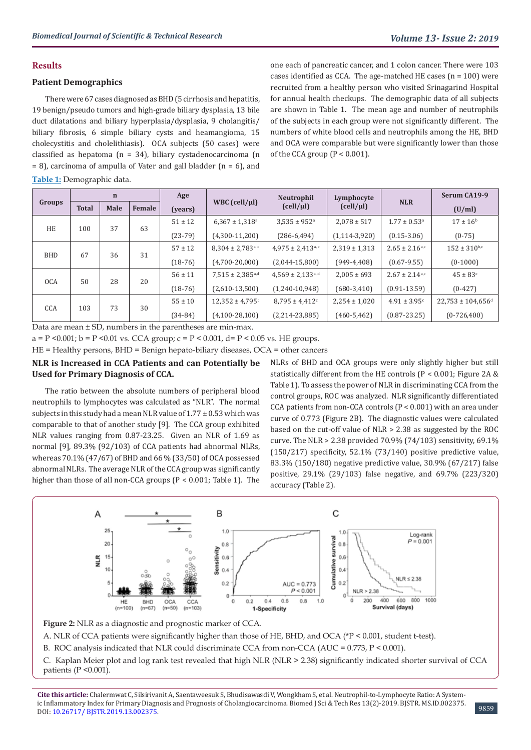## **Results**

## **Patient Demographics**

There were 67 cases diagnosed as BHD (5 cirrhosis and hepatitis, 19 benign/pseudo tumors and high-grade biliary dysplasia, 13 bile duct dilatations and biliary hyperplasia/dysplasia, 9 cholangitis/ biliary fibrosis, 6 simple biliary cysts and heamangioma, 15 cholecystitis and cholelithiasis). OCA subjects (50 cases) were classified as hepatoma (n = 34), biliary cystadenocarcinoma (n  $= 8$ ), carcinoma of ampulla of Vater and gall bladder (n  $= 6$ ), and

**Table 1:** Demographic data.

one each of pancreatic cancer, and 1 colon cancer. There were 103 cases identified as CCA. The age-matched HE cases  $(n = 100)$  were recruited from a healthy person who visited Srinagarind Hospital for annual health checkups. The demographic data of all subjects are shown in Table 1. The mean age and number of neutrophils of the subjects in each group were not significantly different. The numbers of white blood cells and neutrophils among the HE, BHD and OCA were comparable but were significantly lower than those of the CCA group  $(P < 0.001)$ .

| Groups           | $\mathbf n$  |      |        | Age         |                                   | Neutrophil                               | Lymphocyte                             |                                | Serum CA19-9                      |
|------------------|--------------|------|--------|-------------|-----------------------------------|------------------------------------------|----------------------------------------|--------------------------------|-----------------------------------|
|                  | <b>Total</b> | Male | Female | (years)     | WBC $\text{(cell/}\mu\text{l})$   | $\left( \frac{\text{cell}}{\mu} \right)$ | $\left(\frac{\text{cell}}{\mu}\right)$ | <b>NLR</b>                     | (U/ml)                            |
| <b>HE</b><br>100 |              | 37   | 63     | $51 \pm 12$ | $6,367 \pm 1,318$ <sup>a</sup>    | $3,535 \pm 952^{\circ}$                  | $2,078 \pm 517$                        | $1.77 \pm 0.53$ <sup>a</sup>   | $17 \pm 16^{\rm b}$               |
|                  |              |      |        | $(23-79)$   | $(4,300-11,200)$                  | $(286-6,494)$                            | $(1, 114 - 3, 920)$                    | $(0.15 - 3.06)$                | $(0-75)$                          |
| <b>BHD</b>       | 67           | 36   | 31     | $57 \pm 12$ | $8,304 \pm 2,783$ <sup>a, c</sup> | $4,975 \pm 2,413^{\text{a,c}}$           | $2,319 \pm 1,313$                      | $2.65 \pm 2.16^{\text{a,c}}$   | $152 \pm 310^{b,c}$               |
|                  |              |      |        | $(18-76)$   | $(4,700-20,000)$                  | $(2,044-15,800)$                         | $(949-4,408)$                          | $(0.67 - 9.55)$                | $(0-1000)$                        |
| <b>OCA</b>       | 50           | 28   | 20     | $56 \pm 11$ | $7,515 \pm 2,385$ <sup>a,d</sup>  | $4,569 \pm 2,133$ <sup>a, d</sup>        | $2.005 \pm 693$                        | $2.67 \pm 2.14$ <sub>a,c</sub> | $45 \pm 83$ <sup>c</sup>          |
|                  |              |      |        | $(18-76)$   | $(2,610-13,500)$                  | $(1,240-10,948)$                         | $(680-3,410)$                          | $(0.91 - 13.59)$               | $(0-427)$                         |
| CCA              | 103          | 73   | 30     | $55 \pm 10$ | $12,352 \pm 4,795$ <sup>c</sup>   | $8,795 \pm 4,412$ c                      | $2,254 \pm 1,020$                      | $4.91 \pm 3.95$ <sup>c</sup>   | $22,753 \pm 104,656$ <sup>d</sup> |
|                  |              |      |        | $(34-84)$   | $(4,100-28,100)$                  | $(2,214-23,885)$                         | $(460 - 5, 462)$                       | $(0.87 - 23.25)$               | $(0-726,400)$                     |

Data are mean ± SD, numbers in the parentheses are min-max.

a = P < 0.001; b = P < 0.01 vs. CCA group; c = P < 0.001, d = P < 0.05 vs. HE groups.

HE = Healthy persons, BHD = Benign hepato-biliary diseases, OCA = other cancers

## **NLR is Increased in CCA Patients and can Potentially be Used for Primary Diagnosis of CCA.**

The ratio between the absolute numbers of peripheral blood neutrophils to lymphocytes was calculated as "NLR". The normal subjects in this study had a mean NLR value of 1.77 ± 0.53 which was comparable to that of another study [9]. The CCA group exhibited NLR values ranging from 0.87-23.25. Given an NLR of 1.69 as normal [9], 89.3% (92/103) of CCA patients had abnormal NLRs, whereas 70.1% (47/67) of BHD and 66 % (33/50) of OCA possessed abnormal NLRs. The average NLR of the CCA group was significantly higher than those of all non-CCA groups (P < 0.001; Table 1). The NLRs of BHD and OCA groups were only slightly higher but still statistically different from the HE controls (P < 0.001; Figure 2A & Table 1). To assess the power of NLR in discriminating CCA from the control groups, ROC was analyzed. NLR significantly differentiated CCA patients from non-CCA controls (P < 0.001) with an area under curve of 0.773 (Figure 2B). The diagnostic values were calculated based on the cut-off value of NLR > 2.38 as suggested by the ROC curve. The NLR > 2.38 provided 70.9% (74/103) sensitivity, 69.1% (150/217) specificity, 52.1% (73/140) positive predictive value, 83.3% (150/180) negative predictive value, 30.9% (67/217) false positive, 29.1% (29/103) false negative, and 69.7% (223/320) accuracy (Table 2).



**Figure 2:** NLR as a diagnostic and prognostic marker of CCA.

A. NLR of CCA patients were significantly higher than those of HE, BHD, and OCA (\*P < 0.001, student t-test).

B. ROC analysis indicated that NLR could discriminate CCA from non-CCA (AUC = 0.773, P < 0.001).

C. Kaplan Meier plot and log rank test revealed that high NLR (NLR > 2.38) significantly indicated shorter survival of CCA patients  $(P \le 0.001)$ .

**Cite this article:** Chalermwat C, Silsirivanit A, Saentaweesuk S, Bhudisawasdi V, Wongkham S, et al. Neutrophil-to-Lymphocyte Ratio: A Systemic Inflammatory Index for Primary Diagnosis and Prognosis of Cholangiocarcinoma. Biomed J Sci & Tech Res 13(2)-2019. BJSTR. MS.ID.002375. ne inflaminatory mues for Frinlary Diagnosis and Frognosis of Cholangiocal Chroma. Dioffed J Ser & Tech Res 15(2)-2019. DJSTR. MS.ID.002575.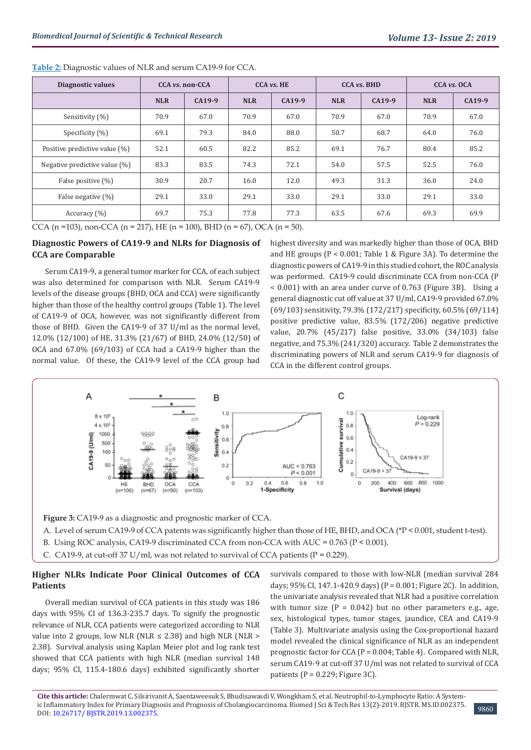| Diagnostic values                | CCA <i>vs.</i> non-CCA |        | <b>CCA</b> vs. HE |        | <b>CCA vs. BHD</b> |        | CCA vs. OCA |        |
|----------------------------------|------------------------|--------|-------------------|--------|--------------------|--------|-------------|--------|
|                                  | <b>NLR</b>             | CA19-9 | <b>NLR</b>        | CA19-9 | <b>NLR</b>         | CA19-9 | <b>NLR</b>  | CA19-9 |
| Sensitivity (%)                  | 70.9                   | 67.0   | 70.9              | 67.0   | 70.9               | 67.0   | 70.9        | 67.0   |
| Specificity (%)                  | 69.1                   | 79.3   | 84.0              | 88.0   | 50.7               | 68.7   | 64.0        | 76.0   |
| Positive predictive value (%)    | 52.1                   | 60.5   | 82.2              | 85.2   | 69.1               | 76.7   | 80.4        | 85.2   |
| Negative predictive value $(\%)$ | 83.3                   | 83.5   | 74.3              | 72.1   | 54.0               | 57.5   | 52.5        | 76.0   |
| False positive (%)               | 30.9                   | 20.7   | 16.0              | 12.0   | 49.3               | 31.3   | 36.0        | 24.0   |
| False negative (%)               | 29.1                   | 33.0   | 29.1              | 33.0   | 29.1               | 33.0   | 29.1        | 33.0   |
| Accuracy $(\% )$                 | 69.7                   | 75.3   | 77.8              | 77.3   | 63.5               | 67.6   | 69.3        | 69.9   |

**Table 2:** Diagnostic values of NLR and serum CA19-9 for CCA.

CCA (n =103), non-CCA (n = 217), HE (n = 100), BHD (n = 67), OCA (n = 50).

## **Diagnostic Powers of CA19-9 and NLRs for Diagnosis of CCA are Comparable**

Serum CA19-9, a general tumor marker for CCA, of each subject was also determined for comparison with NLR. Serum CA19-9 levels of the disease groups (BHD, OCA and CCA) were significantly higher than those of the healthy control groups (Table 1). The level of CA19-9 of OCA, however, was not significantly different from those of BHD. Given the CA19-9 of 37 U/ml as the normal level, 12.0% (12/100) of HE, 31.3% (21/67) of BHD, 24.0% (12/50) of OCA and 67.0% (69/103) of CCA had a CA19-9 higher than the normal value. Of these, the CA19-9 level of the CCA group had

highest diversity and was markedly higher than those of OCA, BHD and HE groups (P < 0.001; Table 1 & Figure 3A). To determine the diagnostic powers of CA19-9 in this studied cohort, the ROC analysis was performed. CA19-9 could discriminate CCA from non-CCA (P < 0.001) with an area under curve of 0.763 (Figure 3B). Using a general diagnostic cut off value at 37 U/ml, CA19-9 provided 67.0% (69/103) sensitivity, 79.3% (172/217) specificity, 60.5% (69/114) positive predictive value, 83.5% (172/206) negative predictive value, 20.7% (45/217) false positive, 33.0% (34/103) false negative, and 75.3% (241/320) accuracy. Table 2 demonstrates the discriminating powers of NLR and serum CA19-9 for diagnosis of CCA in the different control groups.



**Figure 3:** CA19-9 as a diagnostic and prognostic marker of CCA.

- A. Level of serum CA19-9 of CCA patents was significantly higher than those of HE, BHD, and OCA (\*P < 0.001, student t-test).
- B. Using ROC analysis, CA19-9 discriminated CCA from non-CCA with AUC = 0.763 (P < 0.001).
- C. CA19-9, at cut-off 37 U/ml, was not related to survival of CCA patients ( $P = 0.229$ ).

## **Higher NLRs Indicate Poor Clinical Outcomes of CCA Patients**

Overall median survival of CCA patients in this study was 186 days with 95% CI of 136.3-235.7 days. To signify the prognostic relevance of NLR, CCA patients were categorized according to NLR value into 2 groups, low NLR (NLR  $\leq$  2.38) and high NLR (NLR > 2.38). Survival analysis using Kaplan Meier plot and log rank test showed that CCA patients with high NLR (median survival 148 days; 95% CI, 115.4-180.6 days) exhibited significantly shorter

survivals compared to those with low-NLR (median survival 284 days;  $95\%$  CI,  $147.1-420.9$  days) (P = 0.001; Figure 2C). In addition, the univariate analysis revealed that NLR had a positive correlation with tumor size  $(P = 0.042)$  but no other parameters e.g., age, sex, histological types, tumor stages, jaundice, CEA and CA19-9 (Table 3). Multivariate analysis using the Cox-proportional hazard model revealed the clinical significance of NLR as an independent prognostic factor for CCA (P = 0.004; Table 4). Compared with NLR, serum CA19-9 at cut-off 37 U/ml was not related to survival of CCA patients ( $P = 0.229$ ; Figure 3C).

**Cite this article:** Chalermwat C, Silsirivanit A, Saentaweesuk S, Bhudisawasdi V, Wongkham S, et al. Neutrophil-to-Lymphocyte Ratio: A System-ic Inflammatory Index for Primary Diagnosis and Prognosis of Cholangiocarcinoma. Biomed J Sci & Tech Res 13(2)-2019. BJSTR. MS.ID.002375. [3860] 9860<br>DOI: [10.26717/ BJSTR.2019.13.002375](http://dx.doi.org/10.26717/BJSTR.2019.13.002375).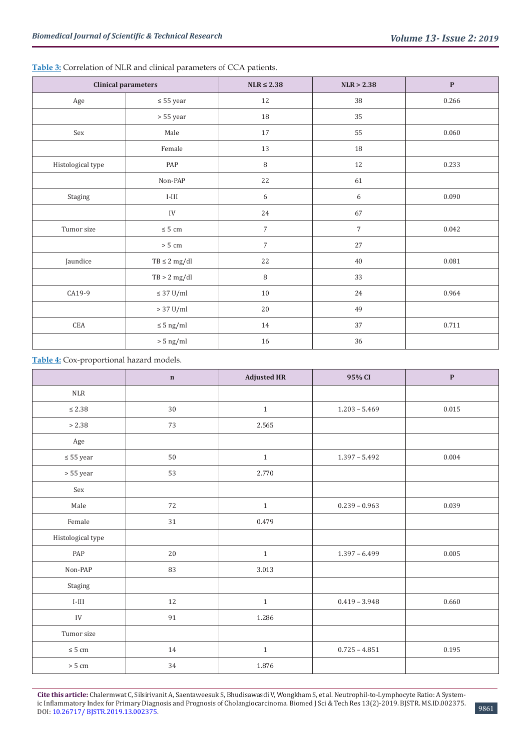|                      | <b>Clinical parameters</b> | $NLR \leq 2.38$<br>NLR > 2.38 |            | $\mathbf{P}$ |
|----------------------|----------------------------|-------------------------------|------------|--------------|
| Age                  | $\leq 55$ year             | 12                            | 38         | 0.266        |
|                      | $> 55$ year                | 18                            | 35         |              |
| Sex                  | Male                       | 17                            | 55         | 0.060        |
|                      | Female                     | 13                            | 18         |              |
| Histological type    | PAP                        | $\, 8$                        | 12         | 0.233        |
|                      | Non-PAP                    | 22                            | 61         |              |
| Staging              | $I-III$                    | 6                             | 6          | 0.090        |
|                      | ${\rm IV}$                 | 24                            | 67         |              |
| Tumor size           | $\leq 5$ cm                | $\overline{7}$                | $\sqrt{ }$ | 0.042        |
|                      | $> 5 \text{ cm}$           | $\overline{7}$                | 27         |              |
| Jaundice             | $TB \leq 2 mg/dl$          | $22\,$                        | 40         | 0.081        |
|                      | TB > 2 mg/dl               | 8                             | 33         |              |
| CA19-9               | $\leq 37$ U/ml             | 10                            | 24         | 0.964        |
|                      | $> 37$ U/ml                | $20\,$                        | 49         |              |
| $\operatorname{CEA}$ | $\leq 5$ ng/ml             | 14                            | 37         | 0.711        |
|                      | $> 5$ ng/ml                | 16                            | 36         |              |

**Table 3:** Correlation of NLR and clinical parameters of CCA patients.

## **Table 4:** Cox-proportional hazard models.

|                       | $\mathbf n$ | <b>Adjusted HR</b> | 95% CI          | $\mathbf P$ |
|-----------------------|-------------|--------------------|-----------------|-------------|
| NLR                   |             |                    |                 |             |
| $\leq 2.38$           | 30          | $\mathbf{1}$       | $1.203 - 5.469$ | 0.015       |
| > 2.38                | 73          | 2.565              |                 |             |
| Age                   |             |                    |                 |             |
| $\leq 55$ year        | $50\,$      | $1\,$              | $1.397 - 5.492$ | 0.004       |
| $> 55\,\mathrm{year}$ | 53          | 2.770              |                 |             |
| Sex                   |             |                    |                 |             |
| Male                  | 72          | $\mathbf{1}$       | $0.239 - 0.963$ | 0.039       |
| Female                | 31          | 0.479              |                 |             |
| Histological type     |             |                    |                 |             |
| PAP                   | $20\,$      | $1\,$              | $1.397 - 6.499$ | 0.005       |
| Non-PAP               | 83          | 3.013              |                 |             |
| Staging               |             |                    |                 |             |
| $I-III$               | 12          | $\,1\,$            | $0.419 - 3.948$ | 0.660       |
| ${\rm IV}$            | $\rm 91$    | 1.286              |                 |             |
| Tumor size            |             |                    |                 |             |
| $\leq 5$ cm           | 14          | $1\,$              | $0.725 - 4.851$ | 0.195       |
| $> 5 \text{ cm}$      | 34          | 1.876              |                 |             |

**Cite this article:** Chalermwat C, Silsirivanit A, Saentaweesuk S, Bhudisawasdi V, Wongkham S, et al. Neutrophil-to-Lymphocyte Ratio: A Systemic Inflammatory Index for Primary Diagnosis and Prognosis of Cholangiocarcinoma. Biomed J Sci & Tech Res 13(2)-2019. BJSTR. MS.ID.002375. IC Inhammatory mues for Primary Diagnosis and Prognosis of Cholangiocarcinoma. Blomed J Sci & Tech Res 13(2)-2019. BJSTR. MS.ID.002375.<br>DOI: [10.26717/ BJSTR.2019.13.002375](http://dx.doi.org/10.26717/BJSTR.2019.13.002375).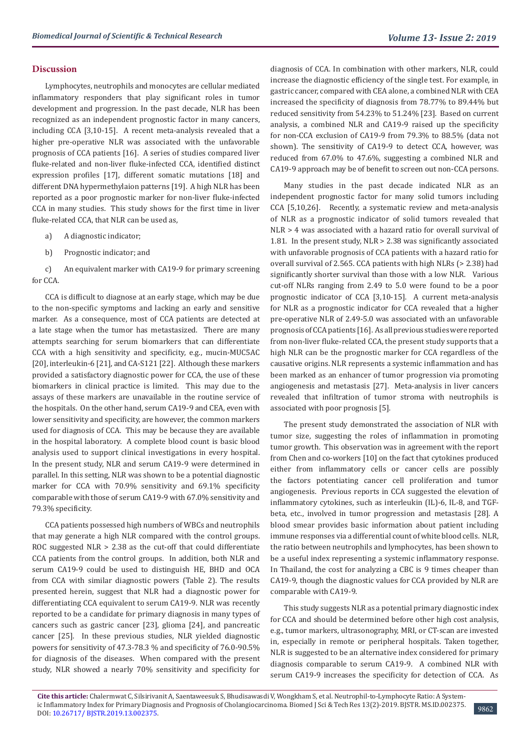#### **Discussion**

Lymphocytes, neutrophils and monocytes are cellular mediated inflammatory responders that play significant roles in tumor development and progression. In the past decade, NLR has been recognized as an independent prognostic factor in many cancers, including CCA [3,10-15]. A recent meta-analysis revealed that a higher pre-operative NLR was associated with the unfavorable prognosis of CCA patients [16]. A series of studies compared liver fluke-related and non-liver fluke-infected CCA, identified distinct expression profiles [17], different somatic mutations [18] and different DNA hypermethylaion patterns [19]. A high NLR has been reported as a poor prognostic marker for non-liver fluke-infected CCA in many studies. This study shows for the first time in liver fluke-related CCA, that NLR can be used as,

- a) A diagnostic indicator;
- b) Prognostic indicator; and

c) An equivalent marker with CA19-9 for primary screening for CCA.

CCA is difficult to diagnose at an early stage, which may be due to the non-specific symptoms and lacking an early and sensitive marker. As a consequence, most of CCA patients are detected at a late stage when the tumor has metastasized. There are many attempts searching for serum biomarkers that can differentiate CCA with a high sensitivity and specificity, e.g., mucin-MUC5AC [20], interleukin-6 [21], and CA-S121 [22]. Although these markers provided a satisfactory diagnostic power for CCA, the use of these biomarkers in clinical practice is limited. This may due to the assays of these markers are unavailable in the routine service of the hospitals. On the other hand, serum CA19-9 and CEA, even with lower sensitivity and specificity, are however, the common markers used for diagnosis of CCA. This may be because they are available in the hospital laboratory. A complete blood count is basic blood analysis used to support clinical investigations in every hospital. In the present study, NLR and serum CA19-9 were determined in parallel. In this setting, NLR was shown to be a potential diagnostic marker for CCA with 70.9% sensitivity and 69.1% specificity comparable with those of serum CA19-9 with 67.0% sensitivity and 79.3% specificity.

CCA patients possessed high numbers of WBCs and neutrophils that may generate a high NLR compared with the control groups. ROC suggested NLR > 2.38 as the cut-off that could differentiate CCA patients from the control groups. In addition, both NLR and serum CA19-9 could be used to distinguish HE, BHD and OCA from CCA with similar diagnostic powers (Table 2). The results presented herein, suggest that NLR had a diagnostic power for differentiating CCA equivalent to serum CA19-9. NLR was recently reported to be a candidate for primary diagnosis in many types of cancers such as gastric cancer [23], glioma [24], and pancreatic cancer [25]. In these previous studies, NLR yielded diagnostic powers for sensitivity of 47.3-78.3 % and specificity of 76.0-90.5% for diagnosis of the diseases. When compared with the present study, NLR showed a nearly 70% sensitivity and specificity for

diagnosis of CCA. In combination with other markers, NLR, could increase the diagnostic efficiency of the single test. For example, in gastric cancer, compared with CEA alone, a combined NLR with CEA increased the specificity of diagnosis from 78.77% to 89.44% but reduced sensitivity from 54.23% to 51.24% [23]. Based on current analysis, a combined NLR and CA19-9 raised up the specificity for non-CCA exclusion of CA19-9 from 79.3% to 88.5% (data not shown). The sensitivity of CA19-9 to detect CCA, however, was reduced from 67.0% to 47.6%, suggesting a combined NLR and CA19-9 approach may be of benefit to screen out non-CCA persons.

Many studies in the past decade indicated NLR as an independent prognostic factor for many solid tumors including CCA [5,10,26]. Recently, a systematic review and meta-analysis of NLR as a prognostic indicator of solid tumors revealed that NLR > 4 was associated with a hazard ratio for overall survival of 1.81. In the present study, NLR > 2.38 was significantly associated with unfavorable prognosis of CCA patients with a hazard ratio for overall survival of 2.565. CCA patients with high NLRs (> 2.38) had significantly shorter survival than those with a low NLR. Various cut-off NLRs ranging from 2.49 to 5.0 were found to be a poor prognostic indicator of CCA [3,10-15]. A current meta-analysis for NLR as a prognostic indicator for CCA revealed that a higher pre-operative NLR of 2.49-5.0 was associated with an unfavorable prognosis of CCA patients [16]. As all previous studies were reported from non-liver fluke-related CCA, the present study supports that a high NLR can be the prognostic marker for CCA regardless of the causative origins. NLR represents a systemic inflammation and has been marked as an enhancer of tumor progression via promoting angiogenesis and metastasis [27]. Meta-analysis in liver cancers revealed that infiltration of tumor stroma with neutrophils is associated with poor prognosis [5].

The present study demonstrated the association of NLR with tumor size, suggesting the roles of inflammation in promoting tumor growth. This observation was in agreement with the report from Chen and co-workers [10] on the fact that cytokines produced either from inflammatory cells or cancer cells are possibly the factors potentiating cancer cell proliferation and tumor angiogenesis. Previous reports in CCA suggested the elevation of inflammatory cytokines, such as interleukin (IL)-6, IL-8, and TGFbeta, etc., involved in tumor progression and metastasis [28]. A blood smear provides basic information about patient including immune responses via a differential count of white blood cells. NLR, the ratio between neutrophils and lymphocytes, has been shown to be a useful index representing a systemic inflammatory response. In Thailand, the cost for analyzing a CBC is 9 times cheaper than CA19-9, though the diagnostic values for CCA provided by NLR are comparable with CA19-9.

This study suggests NLR as a potential primary diagnostic index for CCA and should be determined before other high cost analysis, e.g., tumor markers, ultrasonography, MRI, or CT-scan are invested in, especially in remote or peripheral hospitals. Taken together, NLR is suggested to be an alternative index considered for primary diagnosis comparable to serum CA19-9. A combined NLR with serum CA19-9 increases the specificity for detection of CCA. As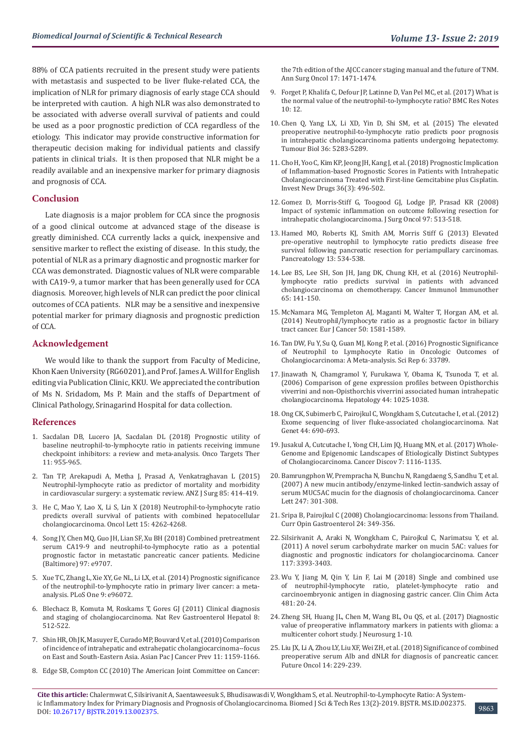88% of CCA patients recruited in the present study were patients with metastasis and suspected to be liver fluke-related CCA, the implication of NLR for primary diagnosis of early stage CCA should be interpreted with caution. A high NLR was also demonstrated to be associated with adverse overall survival of patients and could be used as a poor prognostic prediction of CCA regardless of the etiology. This indicator may provide constructive information for therapeutic decision making for individual patients and classify patients in clinical trials. It is then proposed that NLR might be a readily available and an inexpensive marker for primary diagnosis and prognosis of CCA.

#### **Conclusion**

Late diagnosis is a major problem for CCA since the prognosis of a good clinical outcome at advanced stage of the disease is greatly diminished. CCA currently lacks a quick, inexpensive and sensitive marker to reflect the existing of disease. In this study, the potential of NLR as a primary diagnostic and prognostic marker for CCA was demonstrated. Diagnostic values of NLR were comparable with CA19-9, a tumor marker that has been generally used for CCA diagnosis. Moreover, high levels of NLR can predict the poor clinical outcomes of CCA patients. NLR may be a sensitive and inexpensive potential marker for primary diagnosis and prognostic prediction of CCA.

#### **Acknowledgement**

We would like to thank the support from Faculty of Medicine, Khon Kaen University (RG60201), and Prof. James A. Will for English editing via Publication Clinic, KKU. We appreciated the contribution of Ms N. Sridadom, Ms P. Main and the staffs of Department of Clinical Pathology, Srinagarind Hospital for data collection.

#### **References**

- 1. [Sacdalan DB, Lucero JA, Sacdalan DL \(2018\) Prognostic utility of](https://www.ncbi.nlm.nih.gov/pubmed/29503570)  [baseline neutrophil-to-lymphocyte ratio in patients receiving immune](https://www.ncbi.nlm.nih.gov/pubmed/29503570)  [checkpoint inhibitors: a review and meta-analysis. Onco Targets Ther](https://www.ncbi.nlm.nih.gov/pubmed/29503570)  [11: 955-965.](https://www.ncbi.nlm.nih.gov/pubmed/29503570)
- 2. [Tan TP, Arekapudi A, Metha J, Prasad A, Venkatraghavan L \(2015\)](https://www.ncbi.nlm.nih.gov/pubmed/25781147)  [Neutrophil-lymphocyte ratio as predictor of mortality and morbidity](https://www.ncbi.nlm.nih.gov/pubmed/25781147)  [in cardiovascular surgery: a systematic review. ANZ J Surg 85: 414-419.](https://www.ncbi.nlm.nih.gov/pubmed/25781147)
- 3. [He C, Mao Y, Lao X, Li S, Lin X \(2018\) Neutrophil-to-lymphocyte ratio](https://www.ncbi.nlm.nih.gov/pubmed/29541193)  [predicts overall survival of patients with combined hepatocellular](https://www.ncbi.nlm.nih.gov/pubmed/29541193)  [cholangiocarcinoma. Oncol Lett 15: 4262-4268.](https://www.ncbi.nlm.nih.gov/pubmed/29541193)
- 4. [Song JY, Chen MQ, Guo JH, Lian SF, Xu BH \(2018\) Combined pretreatment](https://www.ncbi.nlm.nih.gov/pmc/articles/PMC5794383/)  [serum CA19-9 and neutrophil-to-lymphocyte ratio as a potential](https://www.ncbi.nlm.nih.gov/pmc/articles/PMC5794383/)  [prognostic factor in metastatic pancreatic cancer patients. Medicine](https://www.ncbi.nlm.nih.gov/pmc/articles/PMC5794383/)  [\(Baltimore\) 97: e9707.](https://www.ncbi.nlm.nih.gov/pmc/articles/PMC5794383/)
- 5. [Xue TC, Zhang L, Xie XY, Ge NL, Li LX, et al. \(2014\) Prognostic significance](https://www.ncbi.nlm.nih.gov/pubmed/24788770)  [of the neutrophil-to-lymphocyte ratio in primary liver cancer: a meta](https://www.ncbi.nlm.nih.gov/pubmed/24788770)[analysis. PLoS One 9: e96072.](https://www.ncbi.nlm.nih.gov/pubmed/24788770)
- 6. [Blechacz B, Komuta M, Roskams T, Gores GJ \(2011\) Clinical diagnosis](https://www.ncbi.nlm.nih.gov/pubmed/21808282)  [and staging of cholangiocarcinoma. Nat Rev Gastroenterol Hepatol 8:](https://www.ncbi.nlm.nih.gov/pubmed/21808282)  [512-522.](https://www.ncbi.nlm.nih.gov/pubmed/21808282)
- 7. [Shin HR, Oh JK, Masuyer E, Curado MP, Bouvard V, et al. \(2010\) Comparison](https://www.ncbi.nlm.nih.gov/pubmed/21198257)  [of incidence of intrahepatic and extrahepatic cholangiocarcinoma--focus](https://www.ncbi.nlm.nih.gov/pubmed/21198257)  [on East and South-Eastern Asia. Asian Pac J Cancer Prev 11: 1159-1166.](https://www.ncbi.nlm.nih.gov/pubmed/21198257)
- 8. [Edge SB, Compton CC \(2010\) The American Joint Committee on Cancer:](https://www.ncbi.nlm.nih.gov/pubmed/20180029)

[the 7th edition of the AJCC cancer staging manual and the future of TNM.](https://www.ncbi.nlm.nih.gov/pubmed/20180029) [Ann Surg Oncol 17: 1471-1474.](https://www.ncbi.nlm.nih.gov/pubmed/20180029)

- 9. [Forget P, Khalifa C, Defour JP, Latinne D, Van Pel MC, et al. \(2017\) What is](https://www.ncbi.nlm.nih.gov/pmc/articles/PMC5217256/) [the normal value of the neutrophil-to-lymphocyte ratio? BMC Res Notes](https://www.ncbi.nlm.nih.gov/pmc/articles/PMC5217256/) [10: 12.](https://www.ncbi.nlm.nih.gov/pmc/articles/PMC5217256/)
- 10. [Chen Q, Yang LX, Li XD, Yin D, Shi SM, et al. \(2015\) The elevated](https://www.ncbi.nlm.nih.gov/pubmed/25672606) [preoperative neutrophil-to-lymphocyte ratio predicts poor prognosis](https://www.ncbi.nlm.nih.gov/pubmed/25672606) [in intrahepatic cholangiocarcinoma patients undergoing hepatectomy.](https://www.ncbi.nlm.nih.gov/pubmed/25672606) [Tumour Biol 36: 5283-5289.](https://www.ncbi.nlm.nih.gov/pubmed/25672606)
- 11. [Cho H, Yoo C, Kim KP, Jeong JH, Kang J, et al. \(2018\) Prognostic Implication](https://www.ncbi.nlm.nih.gov/pubmed/29192354) [of Inflammation-based Prognostic Scores in Patients with Intrahepatic](https://www.ncbi.nlm.nih.gov/pubmed/29192354) [Cholangiocarcinoma Treated with First-line Gemcitabine plus Cisplatin.](https://www.ncbi.nlm.nih.gov/pubmed/29192354) [Invest New Drugs 36\(3\): 496-502.](https://www.ncbi.nlm.nih.gov/pubmed/29192354)
- 12. [Gomez D, Morris-Stiff G, Toogood GJ, Lodge JP, Prasad KR \(2008\)](https://www.ncbi.nlm.nih.gov/pubmed/18335453) [Impact of systemic inflammation on outcome following resection for](https://www.ncbi.nlm.nih.gov/pubmed/18335453) [intrahepatic cholangiocarcinoma. J Surg Oncol 97: 513-518.](https://www.ncbi.nlm.nih.gov/pubmed/18335453)
- 13. [Hamed MO, Roberts KJ, Smith AM, Morris Stiff G \(2013\) Elevated](https://www.ncbi.nlm.nih.gov/pubmed/24075520) [pre-operative neutrophil to lymphocyte ratio predicts disease free](https://www.ncbi.nlm.nih.gov/pubmed/24075520) [survival following pancreatic resection for periampullary carcinomas.](https://www.ncbi.nlm.nih.gov/pubmed/24075520) [Pancreatology 13: 534-538.](https://www.ncbi.nlm.nih.gov/pubmed/24075520)
- 14. [Lee BS, Lee SH, Son JH, Jang DK, Chung KH, et al. \(2016\) Neutrophil](https://www.ncbi.nlm.nih.gov/pubmed/26728479)[lymphocyte ratio predicts survival in patients with advanced](https://www.ncbi.nlm.nih.gov/pubmed/26728479) [cholangiocarcinoma on chemotherapy. Cancer Immunol Immunother](https://www.ncbi.nlm.nih.gov/pubmed/26728479) [65: 141-150.](https://www.ncbi.nlm.nih.gov/pubmed/26728479)
- 15. [McNamara MG, Templeton AJ, Maganti M, Walter T, Horgan AM, et al.](https://www.ncbi.nlm.nih.gov/pubmed/24630393) [\(2014\) Neutrophil/lymphocyte ratio as a prognostic factor in biliary](https://www.ncbi.nlm.nih.gov/pubmed/24630393) [tract cancer. Eur J Cancer 50: 1581-1589.](https://www.ncbi.nlm.nih.gov/pubmed/24630393)
- 16. [Tan DW, Fu Y, Su Q, Guan MJ, Kong P, et al. \(2016\) Prognostic Significance](https://www.ncbi.nlm.nih.gov/pubmed/27694951) [of Neutrophil to Lymphocyte Ratio in Oncologic Outcomes of](https://www.ncbi.nlm.nih.gov/pubmed/27694951) [Cholangiocarcinoma: A Meta-analysis. Sci Rep 6: 33789.](https://www.ncbi.nlm.nih.gov/pubmed/27694951)
- 17. [Jinawath N, Chamgramol Y, Furukawa Y, Obama K, Tsunoda T, et al.](https://www.ncbi.nlm.nih.gov/pubmed/17006947) [\(2006\) Comparison of gene expression profiles between Opisthorchis](https://www.ncbi.nlm.nih.gov/pubmed/17006947) [viverrini and non-Opisthorchis viverrini associated human intrahepatic](https://www.ncbi.nlm.nih.gov/pubmed/17006947) [cholangiocarcinoma. Hepatology 44: 1025-1038.](https://www.ncbi.nlm.nih.gov/pubmed/17006947)
- 18. [Ong CK, Subimerb C, Pairojkul C, Wongkham S, Cutcutache I, et al. \(2012\)](https://www.ncbi.nlm.nih.gov/pubmed/22561520) [Exome sequencing of liver fluke-associated cholangiocarcinoma. Nat](https://www.ncbi.nlm.nih.gov/pubmed/22561520) [Genet 44: 690-693.](https://www.ncbi.nlm.nih.gov/pubmed/22561520)
- 19. [Jusakul A, Cutcutache I, Yong CH, Lim JQ, Huang MN, et al. \(2017\) Whole-](https://www.ncbi.nlm.nih.gov/pubmed/28667006)[Genome and Epigenomic Landscapes of Etiologically Distinct Subtypes](https://www.ncbi.nlm.nih.gov/pubmed/28667006) [of Cholangiocarcinoma. Cancer Discov 7: 1116-1135.](https://www.ncbi.nlm.nih.gov/pubmed/28667006)
- 20. [Bamrungphon W, Prempracha N, Bunchu N, Rangdaeng S, Sandhu T, et al.](https://www.ncbi.nlm.nih.gov/pubmed/16793202) [\(2007\) A new mucin antibody/enzyme-linked lectin-sandwich assay of](https://www.ncbi.nlm.nih.gov/pubmed/16793202) [serum MUC5AC mucin for the diagnosis of cholangiocarcinoma. Cancer](https://www.ncbi.nlm.nih.gov/pubmed/16793202) [Lett 247: 301-308.](https://www.ncbi.nlm.nih.gov/pubmed/16793202)
- 21. [Sripa B, Pairojkul C \(2008\) Cholangiocarcinoma: lessons from Thailand.](https://www.ncbi.nlm.nih.gov/pubmed/18408464) [Curr Opin Gastroenterol 24: 349-356.](https://www.ncbi.nlm.nih.gov/pubmed/18408464)
- 22. [Silsirivanit A, Araki N, Wongkham C, Pairojkul C, Narimatsu Y, et al.](https://www.ncbi.nlm.nih.gov/pubmed/21287531) [\(2011\) A novel serum carbohydrate marker on mucin 5AC: values for](https://www.ncbi.nlm.nih.gov/pubmed/21287531) [diagnostic and prognostic indicators for cholangiocarcinoma. Cancer](https://www.ncbi.nlm.nih.gov/pubmed/21287531) [117: 3393-3403.](https://www.ncbi.nlm.nih.gov/pubmed/21287531)
- 23. [Wu Y, Jiang M, Qin Y, Lin F, Lai M \(2018\) Single and combined use](https://www.ncbi.nlm.nih.gov/pubmed/29476736) [of neutrophil-lymphocyte ratio, platelet-lymphocyte ratio and](https://www.ncbi.nlm.nih.gov/pubmed/29476736) [carcinoembryonic antigen in diagnosing gastric cancer. Clin Chim Acta](https://www.ncbi.nlm.nih.gov/pubmed/29476736) [481: 20-24.](https://www.ncbi.nlm.nih.gov/pubmed/29476736)
- 24. [Zheng SH, Huang JL, Chen M, Wang BL, Ou QS, et al. \(2017\) Diagnostic](https://www.ncbi.nlm.nih.gov/pubmed/29099300) [value of preoperative inflammatory markers in patients with glioma: a](https://www.ncbi.nlm.nih.gov/pubmed/29099300) [multicenter cohort study. J Neurosurg 1-10.](https://www.ncbi.nlm.nih.gov/pubmed/29099300)
- 25. [Liu JX, Li A, Zhou LY, Liu XF, Wei ZH, et al. \(2018\) Significance of combined](https://www.ncbi.nlm.nih.gov/pubmed/29338337) [preoperative serum Alb and dNLR for diagnosis of pancreatic cancer.](https://www.ncbi.nlm.nih.gov/pubmed/29338337) [Future Oncol 14: 229-239.](https://www.ncbi.nlm.nih.gov/pubmed/29338337)

**Cite this article:** Chalermwat C, Silsirivanit A, Saentaweesuk S, Bhudisawasdi V, Wongkham S, et al. Neutrophil-to-Lymphocyte Ratio: A Systemic Inflammatory Index for Primary Diagnosis and Prognosis of Cholangiocarcinoma. Biomed J Sci & Tech Res 13(2)-2019. BJSTR. MS.ID.002375. ne inflaminatory mues for Frintary Diagnosis and Frognosis of Chorangfocal Chroma. Diomed J Ser & Tech Res 15(2)-2019. DJSTR. MS.D.002575.<br>DOI: [10.26717/ BJSTR.2019.13.002375](http://dx.doi.org/10.26717/BJSTR.2019.13.002375).